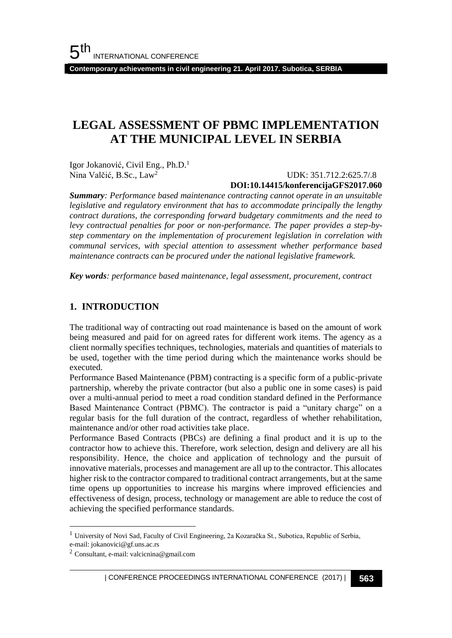**Contemporary achievements in civil engineering 21. April 2017. Subotica, SERBIA**

# **LEGAL ASSESSMENT OF PBMC IMPLEMENTATION AT THE MUNICIPAL LEVEL IN SERBIA**

Igor Jokanović, Civil Eng., Ph.D.<sup>1</sup> Nina Valčić, B.Sc., Law<sup>2</sup>

 UDK: 351.712.2:625.7/.8 **DOI:10.14415/konferencijaGFS2017.060**

*Summary: Performance based maintenance contracting cannot operate in an unsuitable legislative and regulatory environment that has to accommodate principally the lengthy contract durations, the corresponding forward budgetary commitments and the need to levy contractual penalties for poor or non-performance. The paper provides a step-bystep commentary on the implementation of procurement legislation in correlation with communal services, with special attention to assessment whether performance based maintenance contracts can be procured under the national legislative framework.*

*Key words: performance based maintenance, legal assessment, procurement, contract*

### **1. INTRODUCTION**

The traditional way of contracting out road maintenance is based on the amount of work being measured and paid for on agreed rates for different work items. The agency as a client normally specifies techniques, technologies, materials and quantities of materials to be used, together with the time period during which the maintenance works should be executed.

Performance Based Maintenance (PBM) contracting is a specific form of a public-private partnership, whereby the private contractor (but also a public one in some cases) is paid over a multi-annual period to meet a road condition standard defined in the Performance Based Maintenance Contract (PBMC). The contractor is paid a "unitary charge" on a regular basis for the full duration of the contract, regardless of whether rehabilitation, maintenance and/or other road activities take place.

Performance Based Contracts (PBCs) are defining a final product and it is up to the contractor how to achieve this. Therefore, work selection, design and delivery are all his responsibility. Hence, the choice and application of technology and the pursuit of innovative materials, processes and management are all up to the contractor. This allocates higher risk to the contractor compared to traditional contract arrangements, but at the same time opens up opportunities to increase his margins where improved efficiencies and effectiveness of design, process, technology or management are able to reduce the cost of achieving the specified performance standards.

l

<sup>&</sup>lt;sup>1</sup> University of Novi Sad, Faculty of Civil Engineering, 2a Kozaračka St., Subotica, Republic of Serbia, e-mail: jokanovici@gf.uns.ac.rs

<sup>2</sup> Consultant, e-mail: valcicnina@gmail.com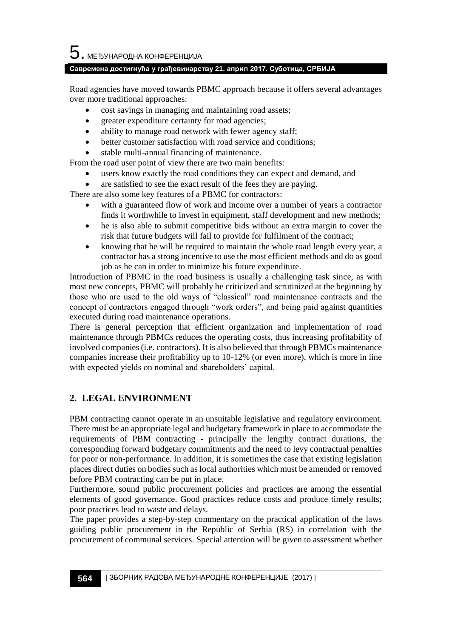$\mathbf 5$ . међународна конференција

### **Савремена достигнућа у грађевинарству 21. април 2017. Суботица, СРБИЈА**

Road agencies have moved towards PBMC approach because it offers several advantages over more traditional approaches:

- cost savings in managing and maintaining road assets;
- greater expenditure certainty for road agencies;
- ability to manage road network with fewer agency staff;
- better customer satisfaction with road service and conditions;
- stable multi-annual financing of maintenance.

From the road user point of view there are two main benefits:

- users know exactly the road conditions they can expect and demand, and
- are satisfied to see the exact result of the fees they are paying.

There are also some key features of a PBMC for contractors:

- with a guaranteed flow of work and income over a number of years a contractor finds it worthwhile to invest in equipment, staff development and new methods;
- he is also able to submit competitive bids without an extra margin to cover the risk that future budgets will fail to provide for fulfilment of the contract;
- knowing that he will be required to maintain the whole road length every year, a contractor has a strong incentive to use the most efficient methods and do as good job as he can in order to minimize his future expenditure.

Introduction of PBMC in the road business is usually a challenging task since, as with most new concepts, PBMC will probably be criticized and scrutinized at the beginning by those who are used to the old ways of "classical" road maintenance contracts and the concept of contractors engaged through "work orders", and being paid against quantities executed during road maintenance operations.

There is general perception that efficient organization and implementation of road maintenance through PBMCs reduces the operating costs, thus increasing profitability of involved companies (i.e. contractors). It is also believed that through PBMCs maintenance companies increase their profitability up to 10-12% (or even more), which is more in line with expected yields on nominal and shareholders' capital.

## **2. LEGAL ENVIRONMENT**

PBM contracting cannot operate in an unsuitable legislative and regulatory environment. There must be an appropriate legal and budgetary framework in place to accommodate the requirements of PBM contracting - principally the lengthy contract durations, the corresponding forward budgetary commitments and the need to levy contractual penalties for poor or non-performance. In addition, it is sometimes the case that existing legislation places direct duties on bodies such as local authorities which must be amended or removed before PBM contracting can be put in place.

Furthermore, sound public procurement policies and practices are among the essential elements of good governance. Good practices reduce costs and produce timely results; poor practices lead to waste and delays.

The paper provides a step-by-step commentary on the practical application of the laws guiding public procurement in the Republic of Serbia (RS) in correlation with the procurement of communal services. Special attention will be given to assessment whether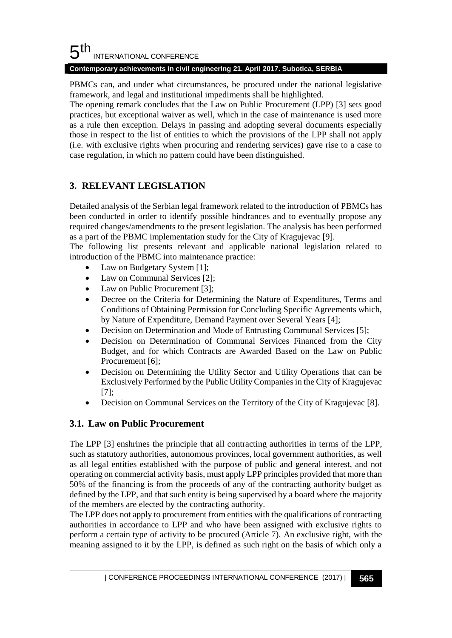#### 5 th INTERNATIONAL CONFERENCE

### **Contemporary achievements in civil engineering 21. April 2017. Subotica, SERBIA**

PBMCs can, and under what circumstances, be procured under the national legislative framework, and legal and institutional impediments shall be highlighted.

The opening remark concludes that the Law on Public Procurement (LPP) [3] sets good practices, but exceptional waiver as well, which in the case of maintenance is used more as a rule then exception. Delays in passing and adopting several documents especially those in respect to the list of entities to which the provisions of the LPP shall not apply (i.e. with exclusive rights when procuring and rendering services) gave rise to a case to case regulation, in which no pattern could have been distinguished.

# **3. RELEVANT LEGISLATION**

Detailed analysis of the Serbian legal framework related to the introduction of PBMCs has been conducted in order to identify possible hindrances and to eventually propose any required changes/amendments to the present legislation. The analysis has been performed as a part of the PBMC implementation study for the City of Kragujevac [9].

The following list presents relevant and applicable national legislation related to introduction of the PBMC into maintenance practice:

- Law on Budgetary System [1];
- Law on Communal Services [2];
- Law on Public Procurement [3];
- Decree on the Criteria for Determining the Nature of Expenditures, Terms and Conditions of Obtaining Permission for Concluding Specific Agreements which, by Nature of Expenditure, Demand Payment over Several Years [4];
- Decision on Determination and Mode of Entrusting Communal Services [5];
- Decision on Determination of Communal Services Financed from the City Budget, and for which Contracts are Awarded Based on the Law on Public Procurement [6]:
- Decision on Determining the Utility Sector and Utility Operations that can be Exclusively Performed by the Public Utility Companies in the City of Kragujevac [7];
- Decision on Communal Services on the Territory of the City of Kragujevac [8].

# **3.1. Law on Public Procurement**

The LPP [3] enshrines the principle that all contracting authorities in terms of the LPP, such as statutory authorities, autonomous provinces, local government authorities, as well as all legal entities established with the purpose of public and general interest, and not operating on commercial activity basis, must apply LPP principles provided that more than 50% of the financing is from the proceeds of any of the contracting authority budget as defined by the LPP, and that such entity is being supervised by a board where the majority of the members are elected by the contracting authority.

The LPP does not apply to procurement from entities with the qualifications of contracting authorities in accordance to LPP and who have been assigned with exclusive rights to perform a certain type of activity to be procured (Article 7). An exclusive right, with the meaning assigned to it by the LPP, is defined as such right on the basis of which only a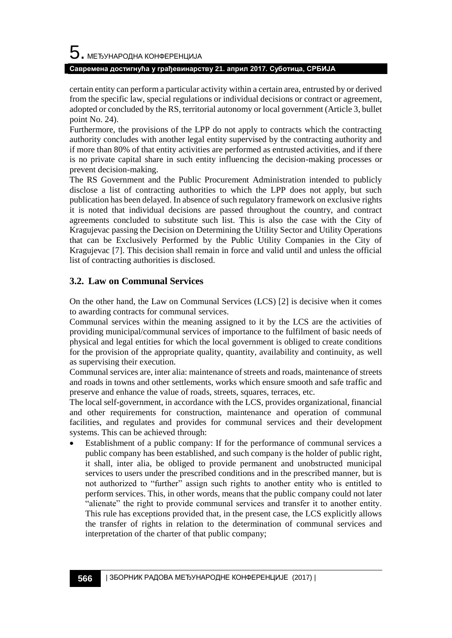### **Савремена достигнућа у грађевинарству 21. април 2017. Суботица, СРБИЈА**

certain entity can perform a particular activity within a certain area, entrusted by or derived from the specific law, special regulations or individual decisions or contract or agreement, adopted or concluded by the RS, territorial autonomy or local government (Article 3, bullet point No. 24).

Furthermore, the provisions of the LPP do not apply to contracts which the contracting authority concludes with another legal entity supervised by the contracting authority and if more than 80% of that entity activities are performed as entrusted activities, and if there is no private capital share in such entity influencing the decision-making processes or prevent decision-making.

The RS Government and the Public Procurement Administration intended to publicly disclose a list of contracting authorities to which the LPP does not apply, but such publication has been delayed. In absence of such regulatory framework on exclusive rights it is noted that individual decisions are passed throughout the country, and contract agreements concluded to substitute such list. This is also the case with the City of Kragujevac passing the Decision on Determining the Utility Sector and Utility Operations that can be Exclusively Performed by the Public Utility Companies in the City of Kragujevac [7]. This decision shall remain in force and valid until and unless the official list of contracting authorities is disclosed.

## **3.2. Law on Communal Services**

On the other hand, the Law on Communal Services (LCS) [2] is decisive when it comes to awarding contracts for communal services.

Communal services within the meaning assigned to it by the LCS are the activities of providing municipal/communal services of importance to the fulfilment of basic needs of physical and legal entities for which the local government is obliged to create conditions for the provision of the appropriate quality, quantity, availability and continuity, as well as supervising their execution.

Communal services are, inter alia: maintenance of streets and roads, maintenance of streets and roads in towns and other settlements, works which ensure smooth and safe traffic and preserve and enhance the value of roads, streets, squares, terraces, etc.

The local self-government, in accordance with the LCS, provides organizational, financial and other requirements for construction, maintenance and operation of communal facilities, and regulates and provides for communal services and their development systems. This can be achieved through:

• Establishment of a public company: If for the performance of communal services a public company has been established, and such company is the holder of public right, it shall, inter alia, be obliged to provide permanent and unobstructed municipal services to users under the prescribed conditions and in the prescribed manner, but is not authorized to "further" assign such rights to another entity who is entitled to perform services. This, in other words, means that the public company could not later "alienate" the right to provide communal services and transfer it to another entity. This rule has exceptions provided that, in the present case, the LCS explicitly allows the transfer of rights in relation to the determination of communal services and interpretation of the charter of that public company;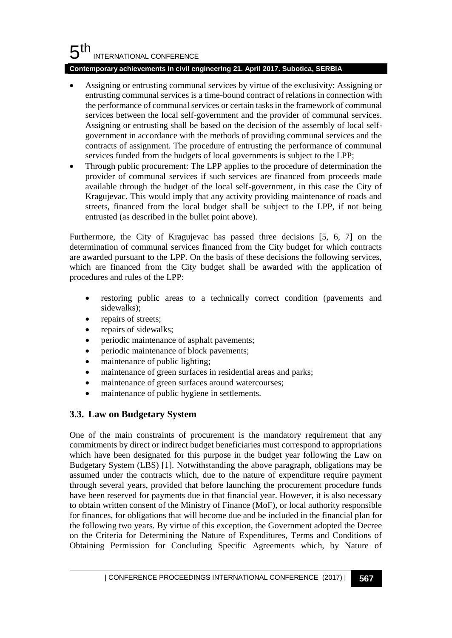#### 5 th INTERNATIONAL CONFERENCE

### **Contemporary achievements in civil engineering 21. April 2017. Subotica, SERBIA**

- Assigning or entrusting communal services by virtue of the exclusivity: Assigning or entrusting communal services is a time-bound contract of relations in connection with the performance of communal services or certain tasks in the framework of communal services between the local self-government and the provider of communal services. Assigning or entrusting shall be based on the decision of the assembly of local selfgovernment in accordance with the methods of providing communal services and the contracts of assignment. The procedure of entrusting the performance of communal services funded from the budgets of local governments is subject to the LPP;
- Through public procurement: The LPP applies to the procedure of determination the provider of communal services if such services are financed from proceeds made available through the budget of the local self-government, in this case the City of Kragujevac. This would imply that any activity providing maintenance of roads and streets, financed from the local budget shall be subject to the LPP, if not being entrusted (as described in the bullet point above).

Furthermore, the City of Kragujevac has passed three decisions [5, 6, 7] on the determination of communal services financed from the City budget for which contracts are awarded pursuant to the LPP. On the basis of these decisions the following services, which are financed from the City budget shall be awarded with the application of procedures and rules of the LPP:

- restoring public areas to a technically correct condition (pavements and sidewalks);
- repairs of streets;
- repairs of sidewalks;
- periodic maintenance of asphalt pavements;
- periodic maintenance of block pavements;
- maintenance of public lighting;
- maintenance of green surfaces in residential areas and parks;
- maintenance of green surfaces around watercourses;
- maintenance of public hygiene in settlements.

## **3.3. Law on Budgetary System**

One of the main constraints of procurement is the mandatory requirement that any commitments by direct or indirect budget beneficiaries must correspond to appropriations which have been designated for this purpose in the budget year following the Law on Budgetary System (LBS) [1]. Notwithstanding the above paragraph, obligations may be assumed under the contracts which, due to the nature of expenditure require payment through several years, provided that before launching the procurement procedure funds have been reserved for payments due in that financial year. However, it is also necessary to obtain written consent of the Ministry of Finance (MoF), or local authority responsible for finances, for obligations that will become due and be included in the financial plan for the following two years. By virtue of this exception, the Government adopted the Decree on the Criteria for Determining the Nature of Expenditures, Terms and Conditions of Obtaining Permission for Concluding Specific Agreements which, by Nature of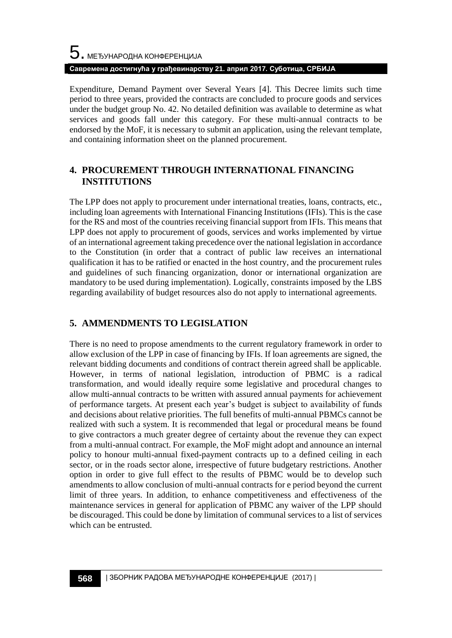# $\mathbf 5$ . међународна конференција **Савремена достигнућа у грађевинарству 21. април 2017. Суботица, СРБИЈА**

Expenditure, Demand Payment over Several Years [4]. This Decree limits such time period to three years, provided the contracts are concluded to procure goods and services under the budget group No. 42. No detailed definition was available to determine as what services and goods fall under this category. For these multi-annual contracts to be endorsed by the MoF, it is necessary to submit an application, using the relevant template, and containing information sheet on the planned procurement.

## **4. PROCUREMENT THROUGH INTERNATIONAL FINANCING INSTITUTIONS**

The LPP does not apply to procurement under international treaties, loans, contracts, etc., including loan agreements with International Financing Institutions (IFIs). This is the case for the RS and most of the countries receiving financial support from IFIs. This means that LPP does not apply to procurement of goods, services and works implemented by virtue of an international agreement taking precedence over the national legislation in accordance to the Constitution (in order that a contract of public law receives an international qualification it has to be ratified or enacted in the host country, and the procurement rules and guidelines of such financing organization, donor or international organization are mandatory to be used during implementation). Logically, constraints imposed by the LBS regarding availability of budget resources also do not apply to international agreements.

# **5. AMMENDMENTS TO LEGISLATION**

There is no need to propose amendments to the current regulatory framework in order to allow exclusion of the LPP in case of financing by IFIs. If loan agreements are signed, the relevant bidding documents and conditions of contract therein agreed shall be applicable. However, in terms of national legislation, introduction of PBMC is a radical transformation, and would ideally require some legislative and procedural changes to allow multi-annual contracts to be written with assured annual payments for achievement of performance targets. At present each year's budget is subject to availability of funds and decisions about relative priorities. The full benefits of multi-annual PBMCs cannot be realized with such a system. It is recommended that legal or procedural means be found to give contractors a much greater degree of certainty about the revenue they can expect from a multi-annual contract. For example, the MoF might adopt and announce an internal policy to honour multi-annual fixed-payment contracts up to a defined ceiling in each sector, or in the roads sector alone, irrespective of future budgetary restrictions. Another option in order to give full effect to the results of PBMC would be to develop such amendments to allow conclusion of multi-annual contracts for e period beyond the current limit of three years. In addition, to enhance competitiveness and effectiveness of the maintenance services in general for application of PBMC any waiver of the LPP should be discouraged. This could be done by limitation of communal services to a list of services which can be entrusted.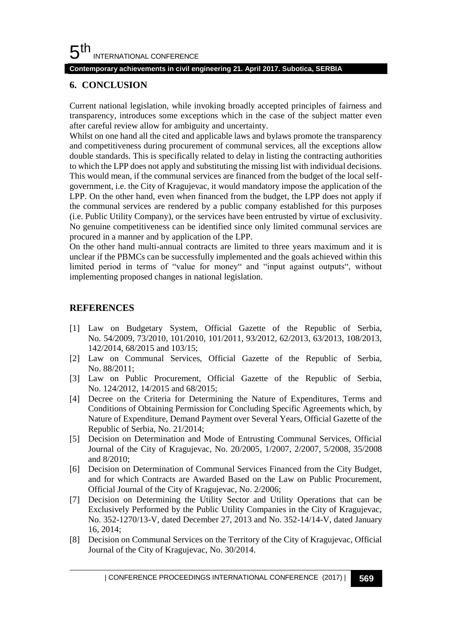### **Contemporary achievements in civil engineering 21. April 2017. Subotica, SERBIA**

### **6. CONCLUSION**

Current national legislation, while invoking broadly accepted principles of fairness and transparency, introduces some exceptions which in the case of the subject matter even after careful review allow for ambiguity and uncertainty.

Whilst on one hand all the cited and applicable laws and bylaws promote the transparency and competitiveness during procurement of communal services, all the exceptions allow double standards. This is specifically related to delay in listing the contracting authorities to which the LPP does not apply and substituting the missing list with individual decisions. This would mean, if the communal services are financed from the budget of the local selfgovernment, i.e. the City of Kragujevac, it would mandatory impose the application of the LPP. On the other hand, even when financed from the budget, the LPP does not apply if the communal services are rendered by a public company established for this purposes (i.e. Public Utility Company), or the services have been entrusted by virtue of exclusivity. No genuine competitiveness can be identified since only limited communal services are procured in a manner and by application of the LPP.

On the other hand multi-annual contracts are limited to three years maximum and it is unclear if the PBMCs can be successfully implemented and the goals achieved within this limited period in terms of "value for money" and "input against outputs", without implementing proposed changes in national legislation.

### **REFERENCES**

- [1] Law on Budgetary System, Official Gazette of the Republic of Serbia, No. 54/2009, 73/2010, 101/2010, 101/2011, 93/2012, 62/2013, 63/2013, 108/2013, 142/2014, 68/2015 and 103/15;
- [2] Law on Communal Services, Official Gazette of the Republic of Serbia, No. 88/2011;
- [3] Law on Public Procurement, Official Gazette of the Republic of Serbia, No. 124/2012, 14/2015 and 68/2015;
- [4] Decree on the Criteria for Determining the Nature of Expenditures, Terms and Conditions of Obtaining Permission for Concluding Specific Agreements which, by Nature of Expenditure, Demand Payment over Several Years, Official Gazette of the Republic of Serbia, No. 21/2014;
- [5] Decision on Determination and Mode of Entrusting Communal Services, Official Journal of the City of Kragujevac, No. 20/2005, 1/2007, 2/2007, 5/2008, 35/2008 and 8/2010;
- [6] Decision on Determination of Communal Services Financed from the City Budget, and for which Contracts are Awarded Based on the Law on Public Procurement, Official Journal of the City of Kragujevac, No. 2/2006;
- [7] Decision on Determining the Utility Sector and Utility Operations that can be Exclusively Performed by the Public Utility Companies in the City of Kragujevac, No. 352-1270/13-V, dated December 27, 2013 and No. 352-14/14-V, dated January 16, 2014;
- [8] Decision on Communal Services on the Territory of the City of Kragujevac, Official Journal of the City of Kragujevac, No. 30/2014.